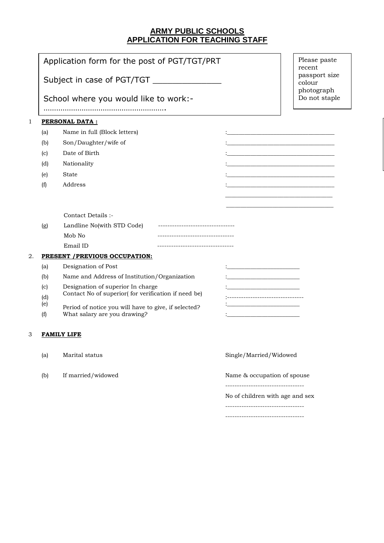# **ARMY PUBLIC SCHOOLS APPLICATION FOR TEACHING STAFF**

|    | Application form for the post of PGT/TGT/PRT        | Please paste<br>recent                               |                                                                                                                       |                                                                                           |  |  |  |  |
|----|-----------------------------------------------------|------------------------------------------------------|-----------------------------------------------------------------------------------------------------------------------|-------------------------------------------------------------------------------------------|--|--|--|--|
|    |                                                     | Subject in case of PGT/TGT ________________          |                                                                                                                       | passport size<br>colour<br>photograph<br>Do not staple                                    |  |  |  |  |
|    |                                                     | School where you would like to work:-                |                                                                                                                       |                                                                                           |  |  |  |  |
|    |                                                     |                                                      |                                                                                                                       |                                                                                           |  |  |  |  |
| 1  |                                                     | <b>PERSONAL DATA:</b>                                |                                                                                                                       |                                                                                           |  |  |  |  |
|    | (a)                                                 | Name in full (Block letters)                         |                                                                                                                       |                                                                                           |  |  |  |  |
|    | (b)                                                 | Son/Daughter/wife of                                 |                                                                                                                       |                                                                                           |  |  |  |  |
|    | (c)                                                 | Date of Birth                                        | the control of the control of the control of the control of the control of the control of                             |                                                                                           |  |  |  |  |
|    | (d)                                                 | Nationality                                          | <u> 1990 - Johann Barbara, martin amerikan basar dan basar dan basar dalam basar dalam basar dalam basar dalam ba</u> |                                                                                           |  |  |  |  |
|    | (e)                                                 | <b>State</b>                                         |                                                                                                                       | the control of the control of the control of the control of the control of the control of |  |  |  |  |
|    | (f)                                                 | Address                                              |                                                                                                                       | the control of the control of the control of the control of the control of the control of |  |  |  |  |
|    |                                                     |                                                      |                                                                                                                       |                                                                                           |  |  |  |  |
|    |                                                     | Contact Details :-                                   |                                                                                                                       |                                                                                           |  |  |  |  |
|    | (g)                                                 | Landline No(with STD Code)                           |                                                                                                                       |                                                                                           |  |  |  |  |
|    |                                                     | Mob No                                               | ----------------------------                                                                                          |                                                                                           |  |  |  |  |
|    |                                                     | Email ID                                             | ---------------------------------                                                                                     |                                                                                           |  |  |  |  |
| 2. |                                                     | PRESENT / PREVIOUS OCCUPATION:                       |                                                                                                                       |                                                                                           |  |  |  |  |
|    | (a)                                                 | Designation of Post                                  |                                                                                                                       | <u> 1980 - Johann Barbara, martxa al</u>                                                  |  |  |  |  |
|    | Name and Address of Institution/Organization<br>(b) |                                                      |                                                                                                                       |                                                                                           |  |  |  |  |
|    | (c)                                                 | Designation of superior In charge                    |                                                                                                                       |                                                                                           |  |  |  |  |
|    | (d)                                                 | Contact No of superior(for verification if need be)  |                                                                                                                       | ----------------------------                                                              |  |  |  |  |
|    | (e)                                                 | Period of notice you will have to give, if selected? |                                                                                                                       |                                                                                           |  |  |  |  |
|    | (f)                                                 | What salary are you drawing?                         |                                                                                                                       |                                                                                           |  |  |  |  |
|    |                                                     |                                                      |                                                                                                                       |                                                                                           |  |  |  |  |
| 3  |                                                     | <b>FAMILY LIFE</b>                                   |                                                                                                                       |                                                                                           |  |  |  |  |
|    | (a)                                                 | Marital status                                       |                                                                                                                       | Single/Married/Widowed                                                                    |  |  |  |  |
|    | (b)                                                 | If married/widowed                                   |                                                                                                                       | Name & occupation of spouse                                                               |  |  |  |  |
|    |                                                     |                                                      |                                                                                                                       | No of children with age and sex<br>-------------------------------                        |  |  |  |  |
|    |                                                     |                                                      |                                                                                                                       | -------------------------------                                                           |  |  |  |  |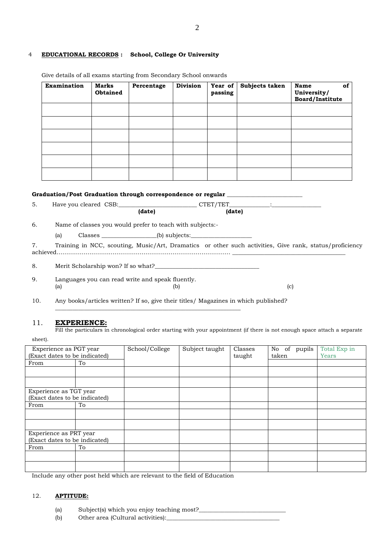### 4 **EDUCATIONAL RECORDS : School, College Or University**

|     | <b>Examination</b> | <b>Marks</b><br><b>Obtained</b> | Percentage                                                                          | <b>Division</b> | Year of<br>passing | Subjects taken | <b>Name</b> | of<br>University/<br><b>Board/Institute</b>                                                             |
|-----|--------------------|---------------------------------|-------------------------------------------------------------------------------------|-----------------|--------------------|----------------|-------------|---------------------------------------------------------------------------------------------------------|
|     |                    |                                 |                                                                                     |                 |                    |                |             |                                                                                                         |
|     |                    |                                 |                                                                                     |                 |                    |                |             |                                                                                                         |
|     |                    |                                 |                                                                                     |                 |                    |                |             |                                                                                                         |
|     |                    |                                 |                                                                                     |                 |                    |                |             |                                                                                                         |
|     |                    |                                 |                                                                                     |                 |                    |                |             |                                                                                                         |
|     |                    |                                 |                                                                                     |                 |                    |                |             |                                                                                                         |
|     |                    |                                 | Graduation/Post Graduation through correspondence or regular ___________________    |                 |                    |                |             |                                                                                                         |
| 5.  |                    |                                 | (date)                                                                              |                 | (date)             |                |             |                                                                                                         |
| 6.  |                    |                                 | Name of classes you would prefer to teach with subjects:-                           |                 |                    |                |             |                                                                                                         |
|     | (a)                |                                 |                                                                                     |                 |                    |                |             |                                                                                                         |
| 7.  |                    |                                 |                                                                                     |                 |                    |                |             | Training in NCC, scouting, Music/Art, Dramatics or other such activities, Give rank, status/proficiency |
| 8.  |                    |                                 |                                                                                     |                 |                    |                |             |                                                                                                         |
| 9.  | (a)                |                                 | Languages you can read write and speak fluently.                                    | (b)             |                    |                | (c)         |                                                                                                         |
| 10. |                    |                                 | Any books/articles written? If so, give their titles/ Magazines in which published? |                 |                    |                |             |                                                                                                         |

Give details of all exams starting from Secondary School onwards

#### 11. **EXPERIENCE:**

sheet).

Fill the particulars in chronological order starting with your appointment (if there is not enough space attach a separate

| Experience as PGT year<br>(Exact dates to be indicated) |    | School/College | Subject taught | Classes<br>taught | No of pupils<br>taken | Total Exp in<br><b>Years</b> |
|---------------------------------------------------------|----|----------------|----------------|-------------------|-----------------------|------------------------------|
| From                                                    | To |                |                |                   |                       |                              |
|                                                         |    |                |                |                   |                       |                              |
|                                                         |    |                |                |                   |                       |                              |
| Experience as TGT year                                  |    |                |                |                   |                       |                              |
| (Exact dates to be indicated)                           |    |                |                |                   |                       |                              |
| From                                                    | To |                |                |                   |                       |                              |
|                                                         |    |                |                |                   |                       |                              |
|                                                         |    |                |                |                   |                       |                              |
| Experience as PRT year                                  |    |                |                |                   |                       |                              |
| (Exact dates to be indicated)                           |    |                |                |                   |                       |                              |
| From                                                    | To |                |                |                   |                       |                              |
|                                                         |    |                |                |                   |                       |                              |
|                                                         |    |                |                |                   |                       |                              |

Include any other post held which are relevant to the field of Education

\_\_\_\_\_\_\_\_\_\_\_\_\_\_\_\_\_\_\_\_\_\_\_\_\_\_\_\_\_\_\_\_\_\_\_\_\_\_\_\_\_\_\_\_\_\_\_\_\_\_\_\_\_\_\_\_\_\_\_\_\_\_\_\_

## 12. **APTITUDE:**

- (a) Subject(s) which you enjoy teaching most?
- (b) Other area (Cultural activities):\_\_\_\_\_\_\_\_\_\_\_\_\_\_\_\_\_\_\_\_\_\_\_\_\_\_\_\_\_\_\_\_\_\_\_\_\_\_\_